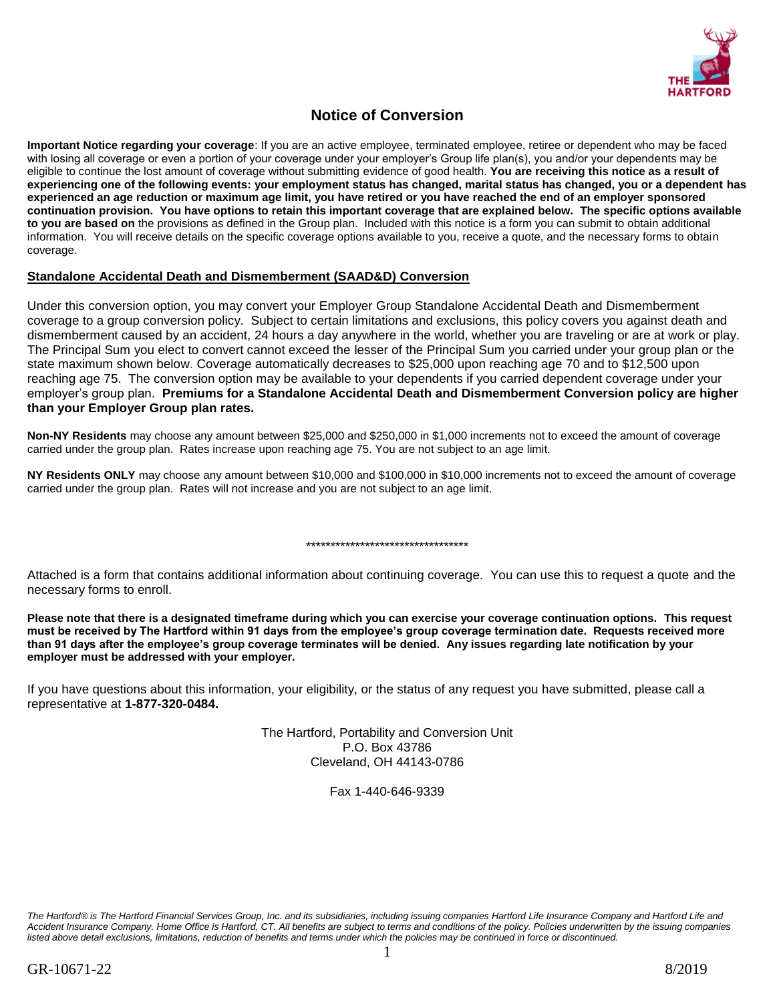

# **Notice of Conversion**

**Important Notice regarding your coverage**: If you are an active employee, terminated employee, retiree or dependent who may be faced with losing all coverage or even a portion of your coverage under your employer's Group life plan(s), you and/or your dependents may be eligible to continue the lost amount of coverage without submitting evidence of good health. **You are receiving this notice as a result of experiencing one of the following events: your employment status has changed, marital status has changed, you or a dependent has experienced an age reduction or maximum age limit, you have retired or you have reached the end of an employer sponsored continuation provision. You have options to retain this important coverage that are explained below. The specific options available to you are based on** the provisions as defined in the Group plan. Included with this notice is a form you can submit to obtain additional information. You will receive details on the specific coverage options available to you, receive a quote, and the necessary forms to obtain coverage.

## **Standalone Accidental Death and Dismemberment (SAAD&D) Conversion**

Under this conversion option, you may convert your Employer Group Standalone Accidental Death and Dismemberment coverage to a group conversion policy. Subject to certain limitations and exclusions, this policy covers you against death and dismemberment caused by an accident, 24 hours a day anywhere in the world, whether you are traveling or are at work or play. The Principal Sum you elect to convert cannot exceed the lesser of the Principal Sum you carried under your group plan or the state maximum shown below. Coverage automatically decreases to \$25,000 upon reaching age 70 and to \$12,500 upon reaching age 75. The conversion option may be available to your dependents if you carried dependent coverage under your employer's group plan. **Premiums for a Standalone Accidental Death and Dismemberment Conversion policy are higher than your Employer Group plan rates.** 

**Non-NY Residents** may choose any amount between \$25,000 and \$250,000 in \$1,000 increments not to exceed the amount of coverage carried under the group plan. Rates increase upon reaching age 75. You are not subject to an age limit.

**NY Residents ONLY** may choose any amount between \$10,000 and \$100,000 in \$10,000 increments not to exceed the amount of coverage carried under the group plan. Rates will not increase and you are not subject to an age limit.

#### \*\*\*\*\*\*\*\*\*\*\*\*\*\*\*\*\*\*\*\*\*\*\*\*\*\*\*\*\*\*\*\*\*

Attached is a form that contains additional information about continuing coverage. You can use this to request a quote and the necessary forms to enroll.

**Please note that there is a designated timeframe during which you can exercise your coverage continuation options. This request must be received by The Hartford within 91 days from the employee's group coverage termination date. Requests received more than 91 days after the employee's group coverage terminates will be denied. Any issues regarding late notification by your employer must be addressed with your employer.**

If you have questions about this information, your eligibility, or the status of any request you have submitted, please call a representative at **1-877-320-0484.**

> The Hartford, Portability and Conversion Unit P.O. Box 43786 Cleveland, OH 44143-0786

> > Fax 1-440-646-9339

*The Hartford® is The Hartford Financial Services Group, Inc. and its subsidiaries, including issuing companies Hartford Life Insurance Company and Hartford Life and Accident Insurance Company. Home Office is Hartford, CT. All benefits are subject to terms and conditions of the policy. Policies underwritten by the issuing companies*  listed above detail exclusions, limitations, reduction of benefits and terms under which the policies may be continued in force or discontinued.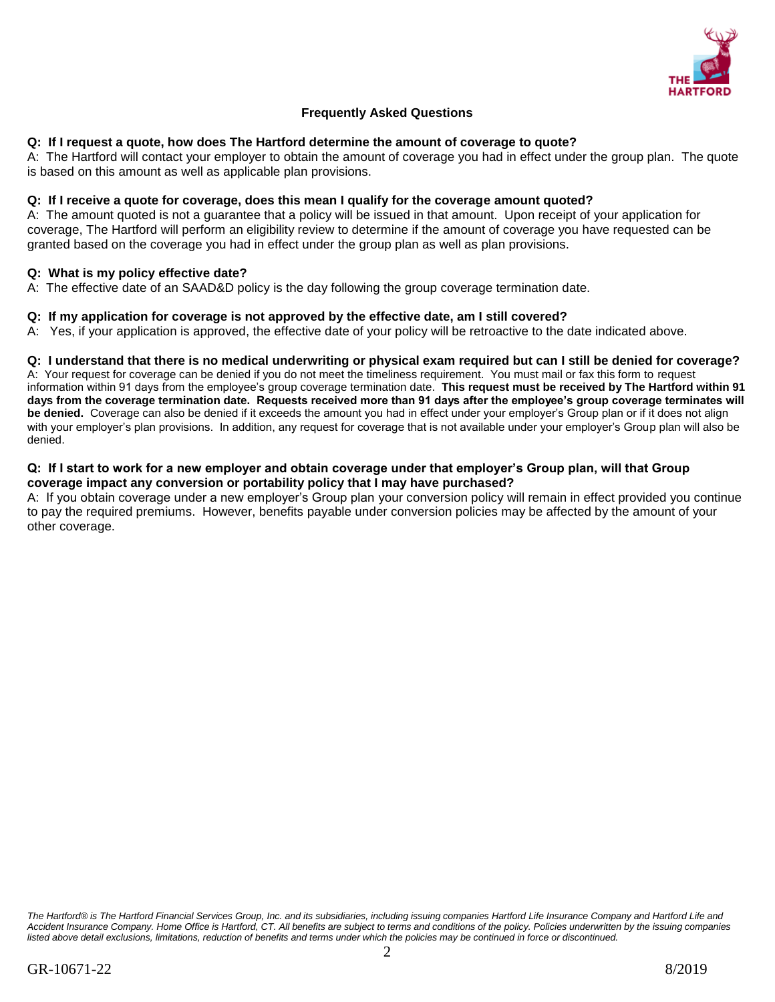

## **Frequently Asked Questions**

### **Q: If I request a quote, how does The Hartford determine the amount of coverage to quote?**

A: The Hartford will contact your employer to obtain the amount of coverage you had in effect under the group plan. The quote is based on this amount as well as applicable plan provisions.

#### **Q: If I receive a quote for coverage, does this mean I qualify for the coverage amount quoted?**

A: The amount quoted is not a guarantee that a policy will be issued in that amount. Upon receipt of your application for coverage, The Hartford will perform an eligibility review to determine if the amount of coverage you have requested can be granted based on the coverage you had in effect under the group plan as well as plan provisions.

#### **Q: What is my policy effective date?**

A: The effective date of an SAAD&D policy is the day following the group coverage termination date.

#### **Q: If my application for coverage is not approved by the effective date, am I still covered?**

A: Yes, if your application is approved, the effective date of your policy will be retroactive to the date indicated above.

#### **Q: I understand that there is no medical underwriting or physical exam required but can I still be denied for coverage?**

A: Your request for coverage can be denied if you do not meet the timeliness requirement. You must mail or fax this form to request information within 91 days from the employee's group coverage termination date. **This request must be received by The Hartford within 91 days from the coverage termination date. Requests received more than 91 days after the employee's group coverage terminates will be denied.** Coverage can also be denied if it exceeds the amount you had in effect under your employer's Group plan or if it does not align with your employer's plan provisions. In addition, any request for coverage that is not available under your employer's Group plan will also be denied.

#### **Q: If I start to work for a new employer and obtain coverage under that employer's Group plan, will that Group coverage impact any conversion or portability policy that I may have purchased?**

A: If you obtain coverage under a new employer's Group plan your conversion policy will remain in effect provided you continue to pay the required premiums. However, benefits payable under conversion policies may be affected by the amount of your other coverage.

*The Hartford® is The Hartford Financial Services Group, Inc. and its subsidiaries, including issuing companies Hartford Life Insurance Company and Hartford Life and Accident Insurance Company. Home Office is Hartford, CT. All benefits are subject to terms and conditions of the policy. Policies underwritten by the issuing companies*  listed above detail exclusions, limitations, reduction of benefits and terms under which the policies may be continued in force or discontinued.